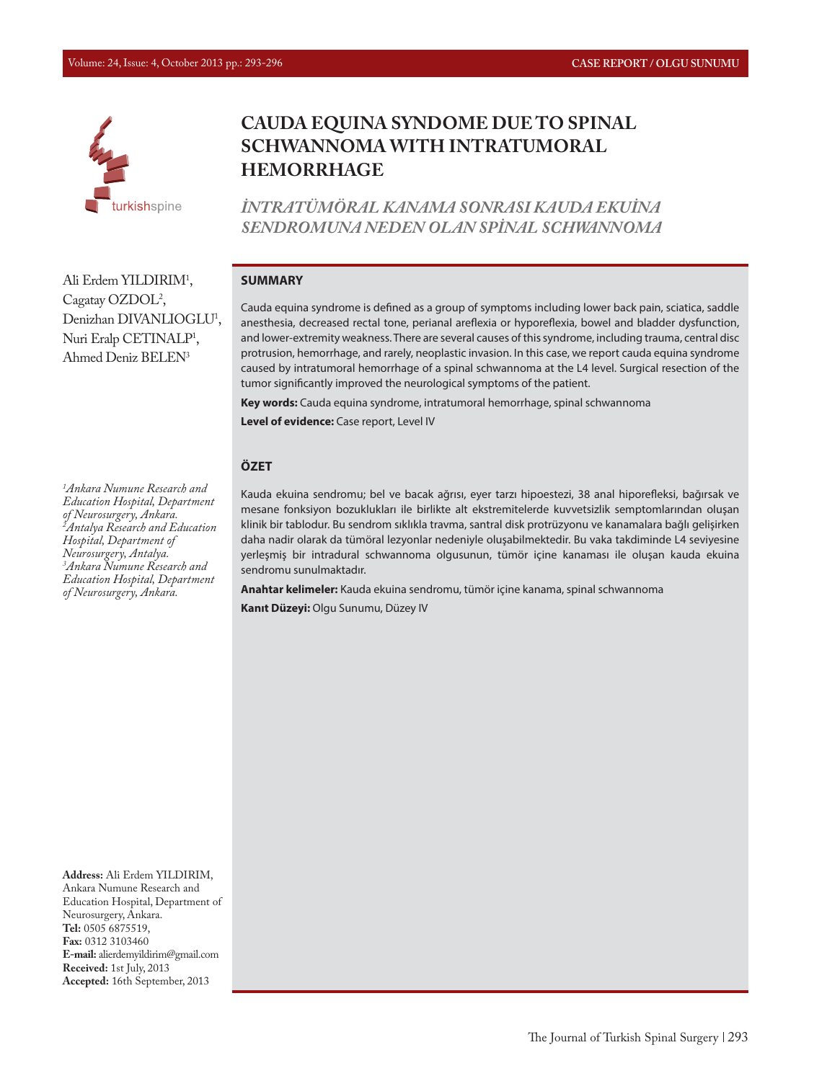

# **CAUDA EQUINA SYNDOME DUE TO SPINAL SCHWANNOMA WITH INTRATUMORAL HEMORRHAGE**

*İNTRATÜMÖRAL KANAMA SONRASI KAUDA EKUİNA SENDROMUNA NEDEN OLAN SPİNAL SCHWANNOMA*

#### **SUMMARY**

Cauda equina syndrome is defined as a group of symptoms including lower back pain, sciatica, saddle anesthesia, decreased rectal tone, perianal areflexia or hyporeflexia, bowel and bladder dysfunction, and lower-extremity weakness. There are several causes of this syndrome, including trauma, central disc protrusion, hemorrhage, and rarely, neoplastic invasion. In this case, we report cauda equina syndrome caused by intratumoral hemorrhage of a spinal schwannoma at the L4 level. Surgical resection of the tumor significantly improved the neurological symptoms of the patient.

**Key words:** Cauda equina syndrome, intratumoral hemorrhage, spinal schwannoma

**Level of evidence:** Case report, Level IV

#### **ÖZET**

Kauda ekuina sendromu; bel ve bacak ağrısı, eyer tarzı hipoestezi, 38 anal hiporefleksi, bağırsak ve mesane fonksiyon bozuklukları ile birlikte alt ekstremitelerde kuvvetsizlik semptomlarından oluşan klinik bir tablodur. Bu sendrom sıklıkla travma, santral disk protrüzyonu ve kanamalara bağlı gelişirken daha nadir olarak da tümöral lezyonlar nedeniyle oluşabilmektedir. Bu vaka takdiminde L4 seviyesine yerleşmiş bir intradural schwannoma olgusunun, tümör içine kanaması ile oluşan kauda ekuina sendromu sunulmaktadır.

**Anahtar kelimeler:** Kauda ekuina sendromu, tümör içine kanama, spinal schwannoma **Kanıt Düzeyi:** Olgu Sunumu, Düzey IV

Ali Erdem YILDIRIM<sup>1</sup>, Cagatay OZDOL<sup>2</sup>, Denizhan DIVANLIOGLU<sup>1</sup>, Nuri Eralp CETINALP<sup>1</sup>, Ahmed Deniz BELEN3

*1 Ankara Numune Research and Education Hospital, Department of Neurosurgery, Ankara. 2 Antalya Research and Education Hospital, Department of Neurosurgery, Antalya. 3 Ankara Numune Research and Education Hospital, Department of Neurosurgery, Ankara.*

**Address:** Ali Erdem YILDIRIM, Ankara Numune Research and Education Hospital, Department of Neurosurgery, Ankara. **Tel:** 0505 6875519, **Fax:** 0312 3103460 **E-mail:** alierdemyildirim@gmail.com **Received:** 1st July, 2013 **Accepted:** 16th September, 2013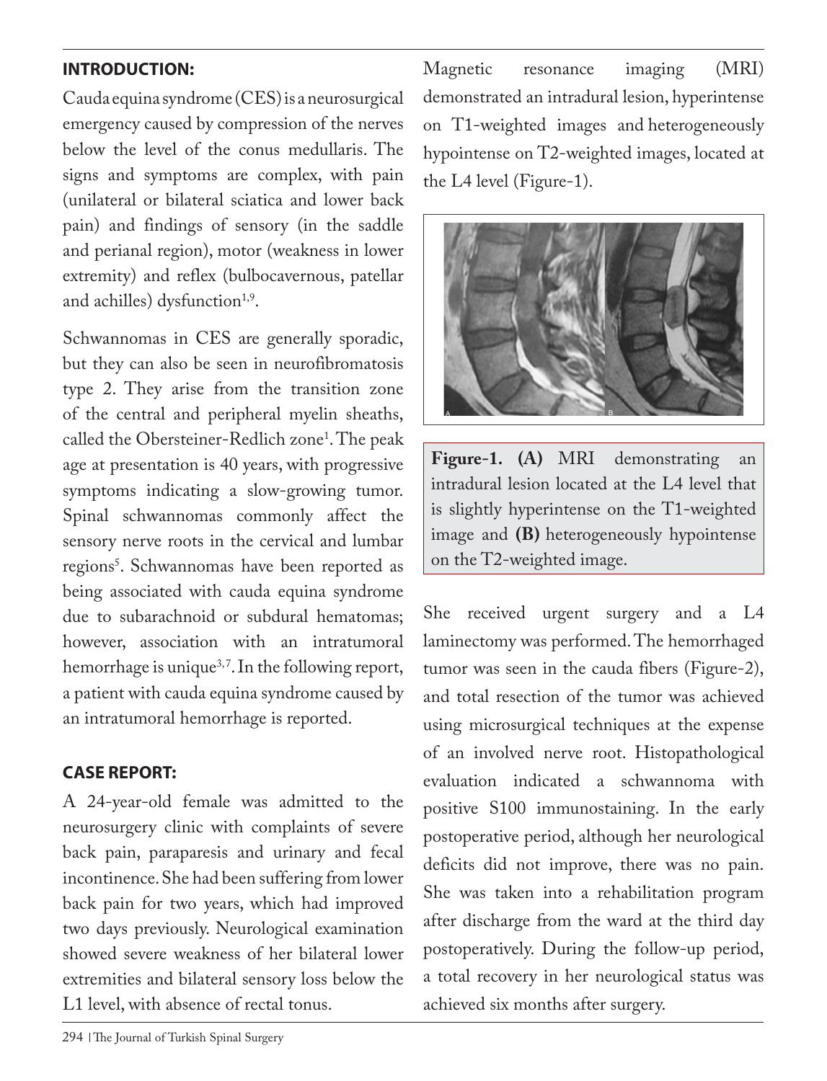# **INTRODUCTION:**

Cauda equina syndrome (CES) is a neurosurgical emergency caused by compression of the nerves below the level of the conus medullaris. The signs and symptoms are complex, with pain (unilateral or bilateral sciatica and lower back pain) and findings of sensory (in the saddle and perianal region), motor (weakness in lower extremity) and reflex (bulbocavernous, patellar and achilles) dysfunction<sup>1,9</sup>.

Schwannomas in CES are generally sporadic, but they can also be seen in neurofibromatosis type 2. They arise from the transition zone of the central and peripheral myelin sheaths, called the Obersteiner-Redlich zone<sup>1</sup>. The peak age at presentation is 40 years, with progressive symptoms indicating a slow-growing tumor. Spinal schwannomas commonly affect the sensory nerve roots in the cervical and lumbar regions<sup>s</sup>. Schwannomas have been reported as being associated with cauda equina syndrome due to subarachnoid or subdural hematomas; however, association with an intratumoral hemorrhage is unique<sup>3,7</sup>. In the following report, a patient with cauda equina syndrome caused by an intratumoral hemorrhage is reported.

## **CASE REPORT:**

A 24-year-old female was admitted to the neurosurgery clinic with complaints of severe back pain, paraparesis and urinary and fecal incontinence. She had been suffering from lower back pain for two years, which had improved two days previously. Neurological examination showed severe weakness of her bilateral lower extremities and bilateral sensory loss below the L1 level, with absence of rectal tonus.

Magnetic resonance imaging (MRI) demonstrated an intradural lesion, hyperintense on T1-weighted images and heterogeneously hypointense on T2-weighted images, located at the L4 level (Figure-1).



**Figure-1. (A)** MRI demonstrating an intradural lesion located at the L4 level that is slightly hyperintense on the T1-weighted image and **(B)** heterogeneously hypointense on the T2-weighted image.

She received urgent surgery and a L4 laminectomy was performed. The hemorrhaged tumor was seen in the cauda fibers (Figure-2), and total resection of the tumor was achieved using microsurgical techniques at the expense of an involved nerve root. Histopathological evaluation indicated a schwannoma with positive S100 immunostaining. In the early postoperative period, although her neurological deficits did not improve, there was no pain. She was taken into a rehabilitation program after discharge from the ward at the third day postoperatively. During the follow-up period, a total recovery in her neurological status was achieved six months after surgery.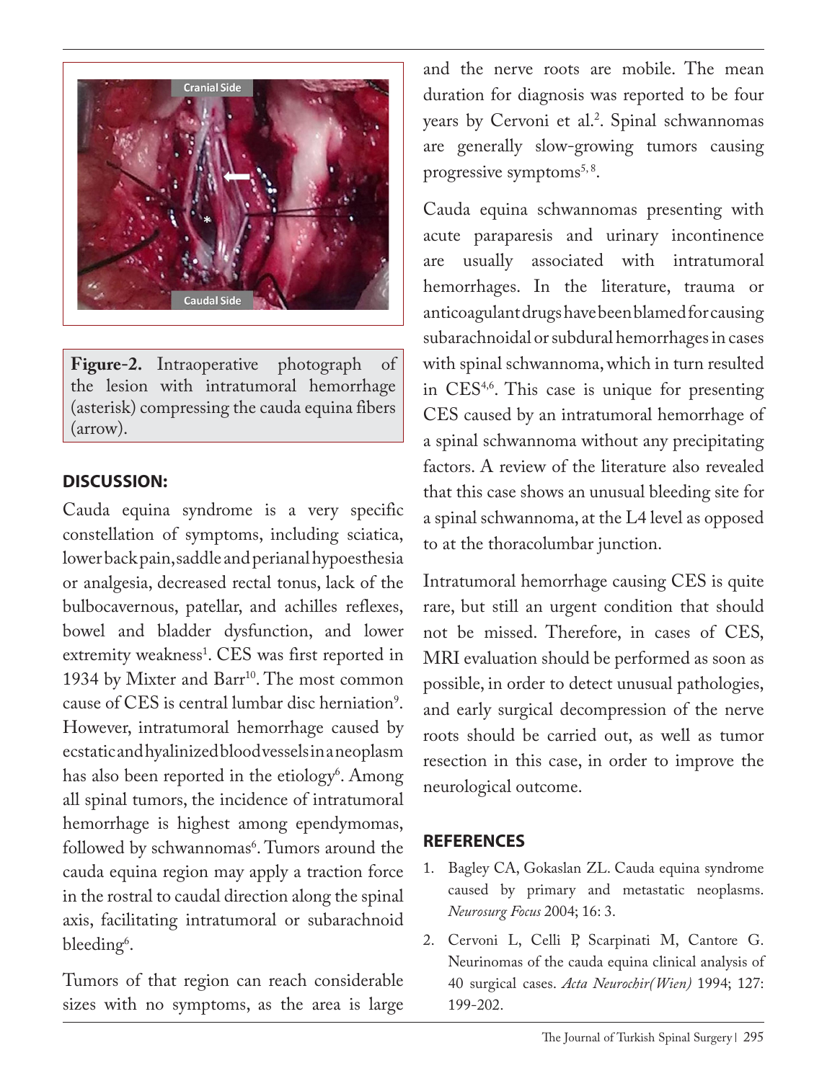

**Figure-2.** Intraoperative photograph of the lesion with intratumoral hemorrhage (asterisk) compressing the cauda equina fibers (arrow).

### **DISCUSSION:**

Cauda equina syndrome is a very specific constellation of symptoms, including sciatica, lower back pain, saddle and perianal hypoesthesia or analgesia, decreased rectal tonus, lack of the bulbocavernous, patellar, and achilles reflexes, bowel and bladder dysfunction, and lower extremity weakness<sup>1</sup>. CES was first reported in 1934 by Mixter and Barr<sup>10</sup>. The most common cause of CES is central lumbar disc herniation<sup>9</sup>. However, intratumoral hemorrhage caused by ecstatic and hyalinized blood vessels in a neoplasm has also been reported in the etiology<sup>6</sup>. Among all spinal tumors, the incidence of intratumoral hemorrhage is highest among ependymomas, followed by schwannomas<sup>6</sup>. Tumors around the cauda equina region may apply a traction force in the rostral to caudal direction along the spinal axis, facilitating intratumoral or subarachnoid bleeding<sup>6</sup>.

Tumors of that region can reach considerable sizes with no symptoms, as the area is large

and the nerve roots are mobile. The mean duration for diagnosis was reported to be four years by Cervoni et al.<sup>2</sup>. Spinal schwannomas are generally slow-growing tumors causing progressive symptoms $<sup>5, 8</sup>$ .</sup>

Cauda equina schwannomas presenting with acute paraparesis and urinary incontinence are usually associated with intratumoral hemorrhages. In the literature, trauma or anticoagulant drugs have been blamed for causing subarachnoidal or subdural hemorrhages in cases with spinal schwannoma, which in turn resulted in  $CES<sup>4,6</sup>$ . This case is unique for presenting CES caused by an intratumoral hemorrhage of a spinal schwannoma without any precipitating factors. A review of the literature also revealed that this case shows an unusual bleeding site for a spinal schwannoma, at the L4 level as opposed to at the thoracolumbar junction.

Intratumoral hemorrhage causing CES is quite rare, but still an urgent condition that should not be missed. Therefore, in cases of CES, MRI evaluation should be performed as soon as possible, in order to detect unusual pathologies, and early surgical decompression of the nerve roots should be carried out, as well as tumor resection in this case, in order to improve the neurological outcome.

### **REFERENCES**

- 1. Bagley CA, Gokaslan ZL. Cauda equina syndrome caused by primary and metastatic neoplasms. *Neurosurg Focus* 2004; 16: 3.
- 2. Cervoni L, Celli P, Scarpinati M, Cantore G. Neurinomas of the cauda equina clinical analysis of 40 surgical cases. *Acta Neurochir(Wien)* 1994; 127: 199-202.